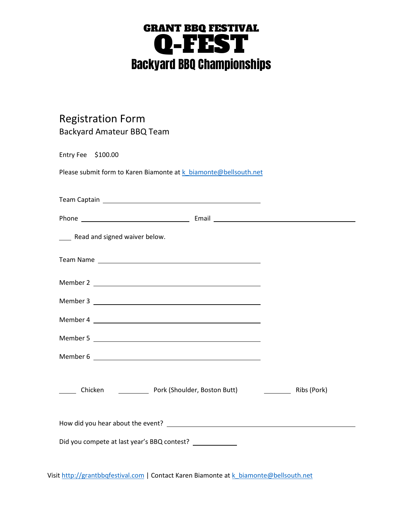## GRANT BBQ FESTIVAL Q-FEST Backyard BBQ Championships

## Registration Form Backyard Amateur BBQ Team

| Entry Fee $$100.00$                                              |  |
|------------------------------------------------------------------|--|
| Please submit form to Karen Biamonte at k biamonte@bellsouth.net |  |
|                                                                  |  |
|                                                                  |  |
|                                                                  |  |
| ____ Read and signed waiver below.                               |  |
|                                                                  |  |
| Member 2                                                         |  |
| Member 3                                                         |  |
|                                                                  |  |
|                                                                  |  |
|                                                                  |  |
| Chicken <b>Chicken</b> Pork (Shoulder, Boston Butt) Ribs (Pork)  |  |
|                                                                  |  |
| Did you compete at last year's BBQ contest?                      |  |

Visit [http://grantbbqfestival.com](http://grantbbqfestival.com/) | Contact Karen Biamonte at [k\\_biamonte@bellsouth.net](mailto:k_biamonte@bellsouth.net)